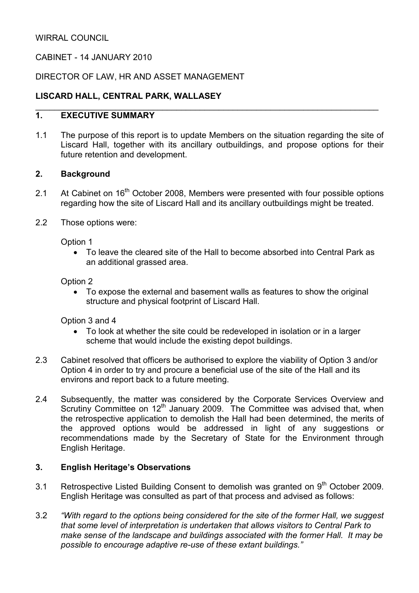# CABINET - 14 JANUARY 2010

### DIRECTOR OF LAW, HR AND ASSET MANAGEMENT

# LISCARD HALL, CENTRAL PARK, WALLASEY

## 1. EXECUTIVE SUMMARY

1.1 The purpose of this report is to update Members on the situation regarding the site of Liscard Hall, together with its ancillary outbuildings, and propose options for their future retention and development.

\_\_\_\_\_\_\_\_\_\_\_\_\_\_\_\_\_\_\_\_\_\_\_\_\_\_\_\_\_\_\_\_\_\_\_\_\_\_\_\_\_\_\_\_\_\_\_\_\_\_\_\_\_\_\_\_\_\_\_\_\_\_\_\_\_\_\_\_\_\_\_\_\_

### 2. Background

- 2.1 At Cabinet on 16<sup>th</sup> October 2008, Members were presented with four possible options regarding how the site of Liscard Hall and its ancillary outbuildings might be treated.
- 2.2 Those options were:

Option 1

• To leave the cleared site of the Hall to become absorbed into Central Park as an additional grassed area.

### Option 2

• To expose the external and basement walls as features to show the original structure and physical footprint of Liscard Hall.

Option 3 and 4

- To look at whether the site could be redeveloped in isolation or in a larger scheme that would include the existing depot buildings.
- 2.3 Cabinet resolved that officers be authorised to explore the viability of Option 3 and/or Option 4 in order to try and procure a beneficial use of the site of the Hall and its environs and report back to a future meeting.
- 2.4 Subsequently, the matter was considered by the Corporate Services Overview and Scrutiny Committee on 12<sup>th</sup> January 2009. The Committee was advised that, when the retrospective application to demolish the Hall had been determined, the merits of the approved options would be addressed in light of any suggestions or recommendations made by the Secretary of State for the Environment through English Heritage.

# 3. English Heritage's Observations

- 3.1 Retrospective Listed Building Consent to demolish was granted on  $9<sup>th</sup>$  October 2009. English Heritage was consulted as part of that process and advised as follows:
- 3.2 "With regard to the options being considered for the site of the former Hall, we suggest that some level of interpretation is undertaken that allows visitors to Central Park to make sense of the landscape and buildings associated with the former Hall. It may be possible to encourage adaptive re-use of these extant buildings."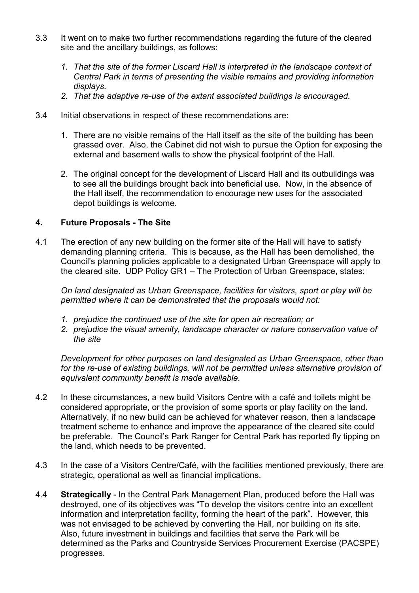- 3.3 It went on to make two further recommendations regarding the future of the cleared site and the ancillary buildings, as follows:
	- 1. That the site of the former Liscard Hall is interpreted in the landscape context of Central Park in terms of presenting the visible remains and providing information displays.
	- 2. That the adaptive re-use of the extant associated buildings is encouraged.
- 3.4 Initial observations in respect of these recommendations are:
	- 1. There are no visible remains of the Hall itself as the site of the building has been grassed over. Also, the Cabinet did not wish to pursue the Option for exposing the external and basement walls to show the physical footprint of the Hall.
	- 2. The original concept for the development of Liscard Hall and its outbuildings was to see all the buildings brought back into beneficial use. Now, in the absence of the Hall itself, the recommendation to encourage new uses for the associated depot buildings is welcome.

### 4. Future Proposals - The Site

4.1 The erection of any new building on the former site of the Hall will have to satisfy demanding planning criteria. This is because, as the Hall has been demolished, the Council's planning policies applicable to a designated Urban Greenspace will apply to the cleared site. UDP Policy GR1 – The Protection of Urban Greenspace, states:

On land designated as Urban Greenspace, facilities for visitors, sport or play will be permitted where it can be demonstrated that the proposals would not:

- 1. prejudice the continued use of the site for open air recreation; or
- 2. prejudice the visual amenity, landscape character or nature conservation value of the site

Development for other purposes on land designated as Urban Greenspace, other than for the re-use of existing buildings, will not be permitted unless alternative provision of equivalent community benefit is made available.

- 4.2 In these circumstances, a new build Visitors Centre with a café and toilets might be considered appropriate, or the provision of some sports or play facility on the land. Alternatively, if no new build can be achieved for whatever reason, then a landscape treatment scheme to enhance and improve the appearance of the cleared site could be preferable. The Council's Park Ranger for Central Park has reported fly tipping on the land, which needs to be prevented.
- 4.3 In the case of a Visitors Centre/Café, with the facilities mentioned previously, there are strategic, operational as well as financial implications.
- 4.4 Strategically In the Central Park Management Plan, produced before the Hall was destroyed, one of its objectives was "To develop the visitors centre into an excellent information and interpretation facility, forming the heart of the park". However, this was not envisaged to be achieved by converting the Hall, nor building on its site. Also, future investment in buildings and facilities that serve the Park will be determined as the Parks and Countryside Services Procurement Exercise (PACSPE) progresses.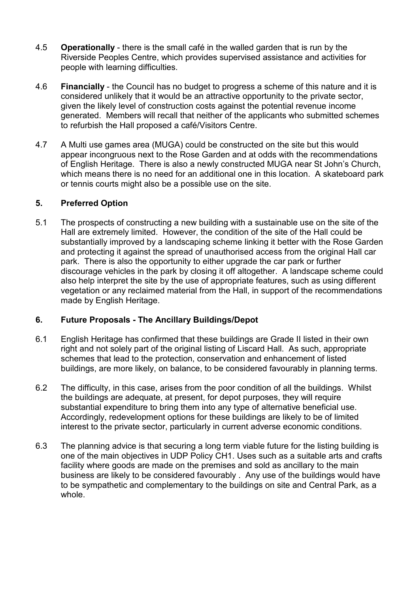- 4.5 Operationally there is the small café in the walled garden that is run by the Riverside Peoples Centre, which provides supervised assistance and activities for people with learning difficulties.
- 4.6 Financially the Council has no budget to progress a scheme of this nature and it is considered unlikely that it would be an attractive opportunity to the private sector, given the likely level of construction costs against the potential revenue income generated. Members will recall that neither of the applicants who submitted schemes to refurbish the Hall proposed a café/Visitors Centre.
- 4.7 A Multi use games area (MUGA) could be constructed on the site but this would appear incongruous next to the Rose Garden and at odds with the recommendations of English Heritage. There is also a newly constructed MUGA near St John's Church, which means there is no need for an additional one in this location. A skateboard park or tennis courts might also be a possible use on the site.

## 5. Preferred Option

5.1 The prospects of constructing a new building with a sustainable use on the site of the Hall are extremely limited. However, the condition of the site of the Hall could be substantially improved by a landscaping scheme linking it better with the Rose Garden and protecting it against the spread of unauthorised access from the original Hall car park. There is also the opportunity to either upgrade the car park or further discourage vehicles in the park by closing it off altogether. A landscape scheme could also help interpret the site by the use of appropriate features, such as using different vegetation or any reclaimed material from the Hall, in support of the recommendations made by English Heritage.

# 6. Future Proposals - The Ancillary Buildings/Depot

- 6.1 English Heritage has confirmed that these buildings are Grade II listed in their own right and not solely part of the original listing of Liscard Hall. As such, appropriate schemes that lead to the protection, conservation and enhancement of listed buildings, are more likely, on balance, to be considered favourably in planning terms.
- 6.2 The difficulty, in this case, arises from the poor condition of all the buildings. Whilst the buildings are adequate, at present, for depot purposes, they will require substantial expenditure to bring them into any type of alternative beneficial use. Accordingly, redevelopment options for these buildings are likely to be of limited interest to the private sector, particularly in current adverse economic conditions.
- 6.3 The planning advice is that securing a long term viable future for the listing building is one of the main objectives in UDP Policy CH1. Uses such as a suitable arts and crafts facility where goods are made on the premises and sold as ancillary to the main business are likely to be considered favourably . Any use of the buildings would have to be sympathetic and complementary to the buildings on site and Central Park, as a whole.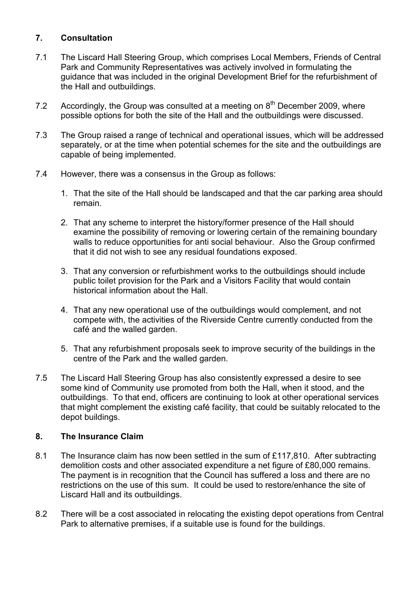# 7. Consultation

- 7.1 The Liscard Hall Steering Group, which comprises Local Members, Friends of Central Park and Community Representatives was actively involved in formulating the guidance that was included in the original Development Brief for the refurbishment of the Hall and outbuildings.
- 7.2 Accordingly, the Group was consulted at a meeting on  $8<sup>th</sup>$  December 2009, where possible options for both the site of the Hall and the outbuildings were discussed.
- 7.3 The Group raised a range of technical and operational issues, which will be addressed separately, or at the time when potential schemes for the site and the outbuildings are capable of being implemented.
- 7.4 However, there was a consensus in the Group as follows:
	- 1. That the site of the Hall should be landscaped and that the car parking area should remain.
	- 2. That any scheme to interpret the history/former presence of the Hall should examine the possibility of removing or lowering certain of the remaining boundary walls to reduce opportunities for anti social behaviour. Also the Group confirmed that it did not wish to see any residual foundations exposed.
	- 3. That any conversion or refurbishment works to the outbuildings should include public toilet provision for the Park and a Visitors Facility that would contain historical information about the Hall.
	- 4. That any new operational use of the outbuildings would complement, and not compete with, the activities of the Riverside Centre currently conducted from the café and the walled garden.
	- 5. That any refurbishment proposals seek to improve security of the buildings in the centre of the Park and the walled garden.
- 7.5 The Liscard Hall Steering Group has also consistently expressed a desire to see some kind of Community use promoted from both the Hall, when it stood, and the outbuildings. To that end, officers are continuing to look at other operational services that might complement the existing café facility, that could be suitably relocated to the depot buildings.

## 8. The Insurance Claim

- 8.1 The Insurance claim has now been settled in the sum of £117,810. After subtracting demolition costs and other associated expenditure a net figure of £80,000 remains. The payment is in recognition that the Council has suffered a loss and there are no restrictions on the use of this sum. It could be used to restore/enhance the site of Liscard Hall and its outbuildings.
- 8.2 There will be a cost associated in relocating the existing depot operations from Central Park to alternative premises, if a suitable use is found for the buildings.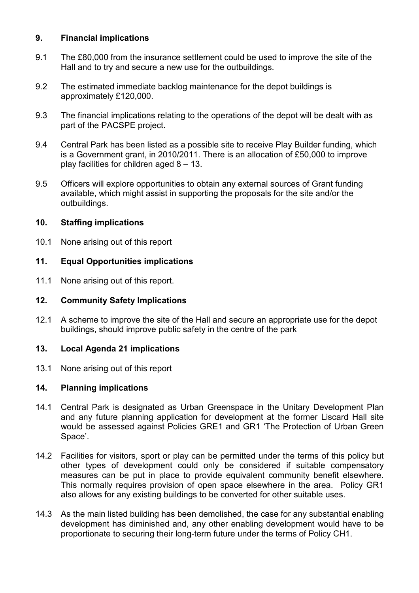## 9. Financial implications

- 9.1 The £80,000 from the insurance settlement could be used to improve the site of the Hall and to try and secure a new use for the outbuildings.
- 9.2 The estimated immediate backlog maintenance for the depot buildings is approximately £120,000.
- 9.3 The financial implications relating to the operations of the depot will be dealt with as part of the PACSPE project.
- 9.4 Central Park has been listed as a possible site to receive Play Builder funding, which is a Government grant, in 2010/2011. There is an allocation of £50,000 to improve play facilities for children aged 8 – 13.
- 9.5 Officers will explore opportunities to obtain any external sources of Grant funding available, which might assist in supporting the proposals for the site and/or the outbuildings.

### 10. Staffing implications

10.1 None arising out of this report

## 11. Equal Opportunities implications

11.1 None arising out of this report.

### 12. Community Safety Implications

12.1 A scheme to improve the site of the Hall and secure an appropriate use for the depot buildings, should improve public safety in the centre of the park

### 13. Local Agenda 21 implications

13.1 None arising out of this report

### 14. Planning implications

- 14.1 Central Park is designated as Urban Greenspace in the Unitary Development Plan and any future planning application for development at the former Liscard Hall site would be assessed against Policies GRE1 and GR1 'The Protection of Urban Green Space'.
- 14.2 Facilities for visitors, sport or play can be permitted under the terms of this policy but other types of development could only be considered if suitable compensatory measures can be put in place to provide equivalent community benefit elsewhere. This normally requires provision of open space elsewhere in the area. Policy GR1 also allows for any existing buildings to be converted for other suitable uses.
- 14.3 As the main listed building has been demolished, the case for any substantial enabling development has diminished and, any other enabling development would have to be proportionate to securing their long-term future under the terms of Policy CH1.